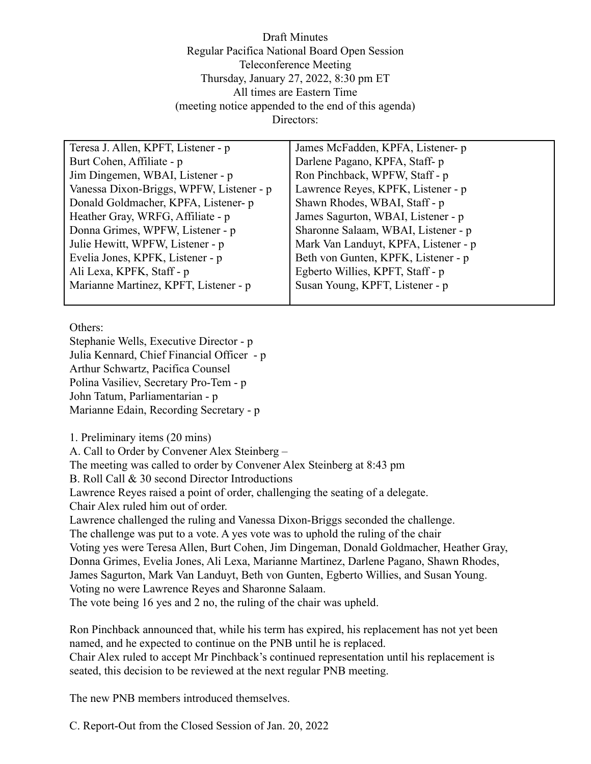Draft Minutes Regular Pacifica National Board Open Session Teleconference Meeting Thursday, January 27, 2022, 8:30 pm ET All times are Eastern Time (meeting notice appended to the end of this agenda) Directors:

| Teresa J. Allen, KPFT, Listener - p      | James McFadden, KPFA, Listener- p    |
|------------------------------------------|--------------------------------------|
| Burt Cohen, Affiliate - p                | Darlene Pagano, KPFA, Staff-p        |
| Jim Dingemen, WBAI, Listener - p         | Ron Pinchback, WPFW, Staff - p       |
| Vanessa Dixon-Briggs, WPFW, Listener - p | Lawrence Reyes, KPFK, Listener - p   |
| Donald Goldmacher, KPFA, Listener- p     | Shawn Rhodes, WBAI, Staff - p        |
| Heather Gray, WRFG, Affiliate - p        | James Sagurton, WBAI, Listener - p   |
| Donna Grimes, WPFW, Listener - p         | Sharonne Salaam, WBAI, Listener - p  |
| Julie Hewitt, WPFW, Listener - p         | Mark Van Landuyt, KPFA, Listener - p |
| Evelia Jones, KPFK, Listener - p         | Beth von Gunten, KPFK, Listener - p  |
| Ali Lexa, KPFK, Staff - p                | Egberto Willies, KPFT, Staff - p     |
| Marianne Martinez, KPFT, Listener - p    | Susan Young, KPFT, Listener - p      |
|                                          |                                      |

Others:

Stephanie Wells, Executive Director - p Julia Kennard, Chief Financial Officer - p Arthur Schwartz, Pacifica Counsel Polina Vasiliev, Secretary Pro-Tem - p John Tatum, Parliamentarian - p Marianne Edain, Recording Secretary - p

1. Preliminary items (20 mins)

A. Call to Order by Convener Alex Steinberg –

The meeting was called to order by Convener Alex Steinberg at 8:43 pm

B. Roll Call & 30 second Director Introductions

Lawrence Reyes raised a point of order, challenging the seating of a delegate.

Chair Alex ruled him out of order.

Lawrence challenged the ruling and Vanessa Dixon-Briggs seconded the challenge.

The challenge was put to a vote. A yes vote was to uphold the ruling of the chair

Voting yes were Teresa Allen, Burt Cohen, Jim Dingeman, Donald Goldmacher, Heather Gray, Donna Grimes, Evelia Jones, Ali Lexa, Marianne Martinez, Darlene Pagano, Shawn Rhodes, James Sagurton, Mark Van Landuyt, Beth von Gunten, Egberto Willies, and Susan Young. Voting no were Lawrence Reyes and Sharonne Salaam.

The vote being 16 yes and 2 no, the ruling of the chair was upheld.

Ron Pinchback announced that, while his term has expired, his replacement has not yet been named, and he expected to continue on the PNB until he is replaced.

Chair Alex ruled to accept Mr Pinchback's continued representation until his replacement is seated, this decision to be reviewed at the next regular PNB meeting.

The new PNB members introduced themselves.

C. Report-Out from the Closed Session of Jan. 20, 2022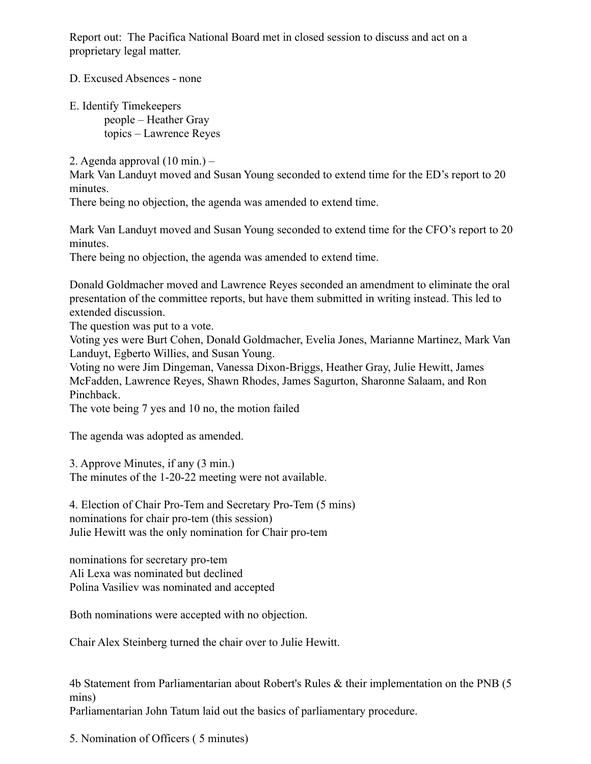Report out: The Pacifica National Board met in closed session to discuss and act on a proprietary legal matter.

D. Excused Absences - none

E. Identify Timekeepers people – Heather Gray topics – Lawrence Reyes

2. Agenda approval (10 min.) –

Mark Van Landuyt moved and Susan Young seconded to extend time for the ED's report to 20 minutes.

There being no objection, the agenda was amended to extend time.

Mark Van Landuyt moved and Susan Young seconded to extend time for the CFO's report to 20 minutes.

There being no objection, the agenda was amended to extend time.

Donald Goldmacher moved and Lawrence Reyes seconded an amendment to eliminate the oral presentation of the committee reports, but have them submitted in writing instead. This led to extended discussion.

The question was put to a vote.

Voting yes were Burt Cohen, Donald Goldmacher, Evelia Jones, Marianne Martinez, Mark Van Landuyt, Egberto Willies, and Susan Young.

Voting no were Jim Dingeman, Vanessa Dixon-Briggs, Heather Gray, Julie Hewitt, James McFadden, Lawrence Reyes, Shawn Rhodes, James Sagurton, Sharonne Salaam, and Ron Pinchback.

The vote being 7 yes and 10 no, the motion failed

The agenda was adopted as amended.

3. Approve Minutes, if any (3 min.) The minutes of the 1-20-22 meeting were not available.

4. Election of Chair Pro-Tem and Secretary Pro-Tem (5 mins) nominations for chair pro-tem (this session) Julie Hewitt was the only nomination for Chair pro-tem

nominations for secretary pro-tem Ali Lexa was nominated but declined Polina Vasiliev was nominated and accepted

Both nominations were accepted with no objection.

Chair Alex Steinberg turned the chair over to Julie Hewitt.

4b Statement from Parliamentarian about Robert's Rules & their implementation on the PNB (5 mins) Parliamentarian John Tatum laid out the basics of parliamentary procedure.

5. Nomination of Officers ( 5 minutes)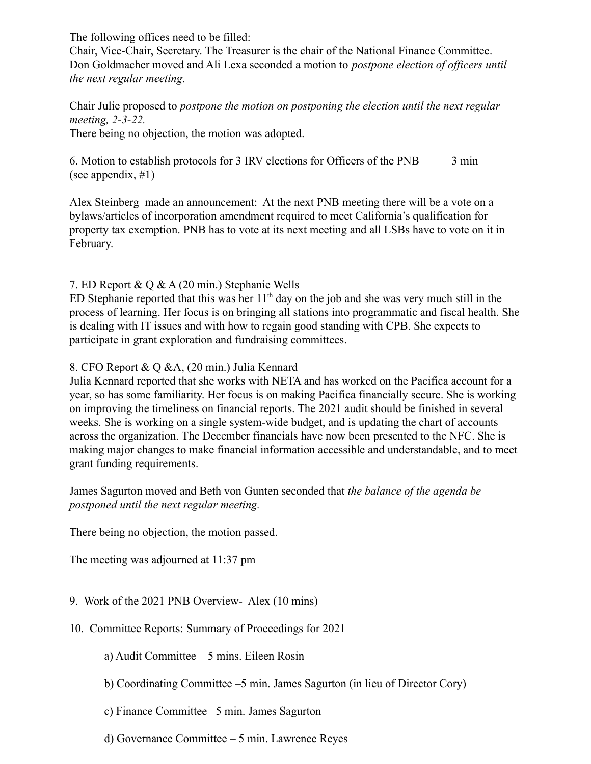The following offices need to be filled:

Chair, Vice-Chair, Secretary. The Treasurer is the chair of the National Finance Committee. Don Goldmacher moved and Ali Lexa seconded a motion to *postpone election of officers until the next regular meeting.*

Chair Julie proposed to *postpone the motion on postponing the election until the next regular meeting, 2-3-22.*

There being no objection, the motion was adopted.

6. Motion to establish protocols for 3 IRV elections for Officers of the PNB 3 min (see appendix, #1)

Alex Steinberg made an announcement: At the next PNB meeting there will be a vote on a bylaws/articles of incorporation amendment required to meet California's qualification for property tax exemption. PNB has to vote at its next meeting and all LSBs have to vote on it in February.

### 7. ED Report & Q & A (20 min.) Stephanie Wells

ED Stephanie reported that this was her  $11<sup>th</sup>$  day on the job and she was very much still in the process of learning. Her focus is on bringing all stations into programmatic and fiscal health. She is dealing with IT issues and with how to regain good standing with CPB. She expects to participate in grant exploration and fundraising committees.

#### 8. CFO Report & Q &A, (20 min.) Julia Kennard

Julia Kennard reported that she works with NETA and has worked on the Pacifica account for a year, so has some familiarity. Her focus is on making Pacifica financially secure. She is working on improving the timeliness on financial reports. The 2021 audit should be finished in several weeks. She is working on a single system-wide budget, and is updating the chart of accounts across the organization. The December financials have now been presented to the NFC. She is making major changes to make financial information accessible and understandable, and to meet grant funding requirements.

James Sagurton moved and Beth von Gunten seconded that *the balance of the agenda be postponed until the next regular meeting.*

There being no objection, the motion passed.

The meeting was adjourned at 11:37 pm

### 9. Work of the 2021 PNB Overview- Alex (10 mins)

- 10. Committee Reports: Summary of Proceedings for 2021
	- a) Audit Committee 5 mins. Eileen Rosin
	- b) Coordinating Committee –5 min. James Sagurton (in lieu of Director Cory)
	- c) Finance Committee –5 min. James Sagurton
	- d) Governance Committee 5 min. Lawrence Reyes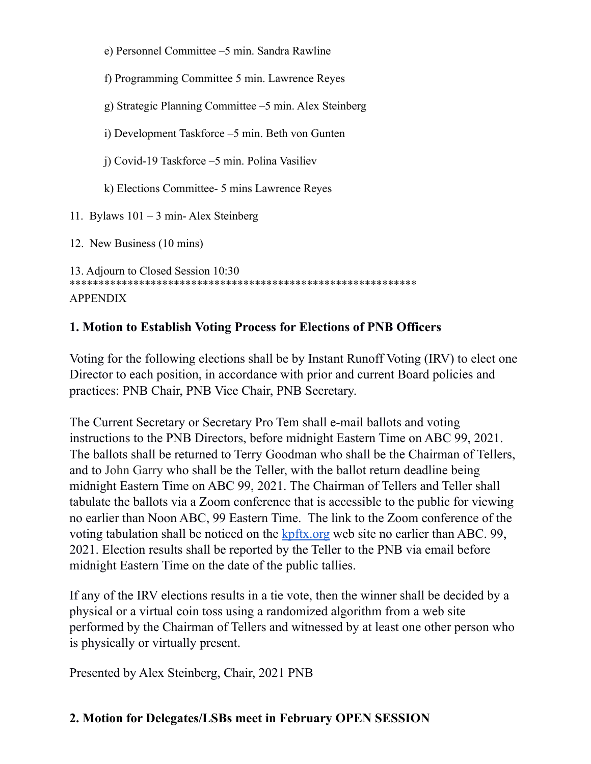| e) Personnel Committee –5 min. Sandra Rawline          |  |
|--------------------------------------------------------|--|
| f) Programming Committee 5 min. Lawrence Reyes         |  |
| g) Strategic Planning Committee –5 min. Alex Steinberg |  |
| i) Development Taskforce – 5 min. Beth von Gunten      |  |
| i) Covid-19 Taskforce –5 min. Polina Vasiliev          |  |
| k) Elections Committee- 5 mins Lawrence Reyes          |  |
| 11. Bylaws $101 - 3$ min-Alex Steinberg                |  |
| 12. New Business (10 mins)                             |  |
| 13. Adjourn to Closed Session 10:30<br><b>APPENDIX</b> |  |

# **1. Motion to Establish Voting Process for Elections of PNB Officers**

Voting for the following elections shall be by Instant Runoff Voting (IRV) to elect one Director to each position, in accordance with prior and current Board policies and practices: PNB Chair, PNB Vice Chair, PNB Secretary.

The Current Secretary or Secretary Pro Tem shall e-mail ballots and voting instructions to the PNB Directors, before midnight Eastern Time on ABC 99, 2021. The ballots shall be returned to Terry Goodman who shall be the Chairman of Tellers, and to John Garry who shall be the Teller, with the ballot return deadline being midnight Eastern Time on ABC 99, 2021. The Chairman of Tellers and Teller shall tabulate the ballots via a Zoom conference that is accessible to the public for viewing no earlier than Noon ABC, 99 Eastern Time. The link to the Zoom conference of the voting tabulation shall be noticed on the  $kpftx.org$  web site no earlier than ABC. 99, 2021. Election results shall be reported by the Teller to the PNB via email before midnight Eastern Time on the date of the public tallies.

If any of the IRV elections results in a tie vote, then the winner shall be decided by a physical or a virtual coin toss using a randomized algorithm from a web site performed by the Chairman of Tellers and witnessed by at least one other person who is physically or virtually present.

Presented by Alex Steinberg, Chair, 2021 PNB

## **2. Motion for Delegates/LSBs meet in February OPEN SESSION**